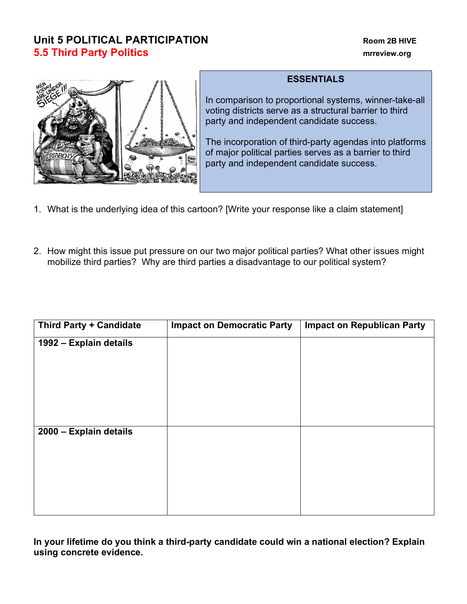## **Unit 5 POLITICAL PARTICIPATION Room 2B HIVE 5.5 Third Party Politics mrreview.org**



## **ESSENTIALS**

In comparison to proportional systems, winner-take-all voting districts serve as a structural barrier to third party and independent candidate success.

The incorporation of third-party agendas into platforms of major political parties serves as a barrier to third party and independent candidate success.

- 1. What is the underlying idea of this cartoon? [Write your response like a claim statement]
- 2. How might this issue put pressure on our two major political parties? What other issues might mobilize third parties? Why are third parties a disadvantage to our political system?

| <b>Third Party + Candidate</b> | <b>Impact on Democratic Party</b> | <b>Impact on Republican Party</b> |
|--------------------------------|-----------------------------------|-----------------------------------|
| 1992 - Explain details         |                                   |                                   |
|                                |                                   |                                   |
|                                |                                   |                                   |
|                                |                                   |                                   |
|                                |                                   |                                   |
|                                |                                   |                                   |
| 2000 - Explain details         |                                   |                                   |
|                                |                                   |                                   |
|                                |                                   |                                   |
|                                |                                   |                                   |
|                                |                                   |                                   |

**In your lifetime do you think a third-party candidate could win a national election? Explain using concrete evidence.**